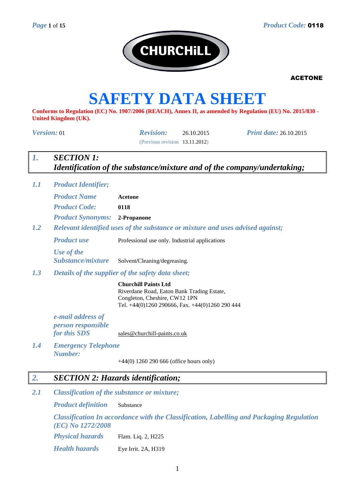

# **SAFETY DATA SHEET**

**Conforms to Regulation (EC) No. 1907/2006 (REACH), Annex II, as amended by Regulation (EU) No. 2015/830 - United Kingdom (UK).**

| Version: 01                                                    | <b>Revision:</b><br><b>Print date: 26.10.2015</b><br>26.10.2015<br>(Previous revision 13.11.2012)                                                             |  |  |  |  |  |
|----------------------------------------------------------------|---------------------------------------------------------------------------------------------------------------------------------------------------------------|--|--|--|--|--|
| <b>SECTION 1:</b><br>1.                                        | Identification of the substance/mixture and of the company/undertaking;                                                                                       |  |  |  |  |  |
| 1.1<br><b>Product Identifier;</b>                              |                                                                                                                                                               |  |  |  |  |  |
| <b>Product Name</b>                                            | <b>Acetone</b>                                                                                                                                                |  |  |  |  |  |
| <b>Product Code:</b>                                           | 0118                                                                                                                                                          |  |  |  |  |  |
| <b>Product Synonyms: 2-Propanone</b>                           |                                                                                                                                                               |  |  |  |  |  |
| 1.2                                                            | Relevant identified uses of the substance or mixture and uses advised against;                                                                                |  |  |  |  |  |
| <b>Product use</b>                                             | Professional use only. Industrial applications                                                                                                                |  |  |  |  |  |
| Use of the<br>Substance/mixture                                | Solvent/Cleaning/degreasing.                                                                                                                                  |  |  |  |  |  |
| 1.3                                                            | Details of the supplier of the safety data sheet;                                                                                                             |  |  |  |  |  |
|                                                                | <b>Churchill Paints Ltd</b><br>Riverdane Road, Eaton Bank Trading Estate,<br>Congleton, Cheshire, CW12 1PN<br>Tel. +44(0)1260 290666, Fax. +44(0)1260 290 444 |  |  |  |  |  |
| e-mail address of<br><i>person responsible</i><br>for this SDS | sales@churchill-paints.co.uk                                                                                                                                  |  |  |  |  |  |
| 1.4<br><b>Emergency Telephone</b><br><b>Number:</b>            |                                                                                                                                                               |  |  |  |  |  |
|                                                                | $+44(0)$ 1260 290 666 (office hours only)                                                                                                                     |  |  |  |  |  |
| 2.                                                             | <b>SECTION 2: Hazards identification;</b>                                                                                                                     |  |  |  |  |  |
| 2.1                                                            | Classification of the substance or mixture;                                                                                                                   |  |  |  |  |  |
| <b>Product definition</b>                                      | Substance                                                                                                                                                     |  |  |  |  |  |

*Classification In accordance with the Classification, Labelling and Packaging Regulation (EC) No 1272/2008*

*Physical hazards* Flam. Liq. 2, H225 *Health hazards* Eye Irrit. 2A, H319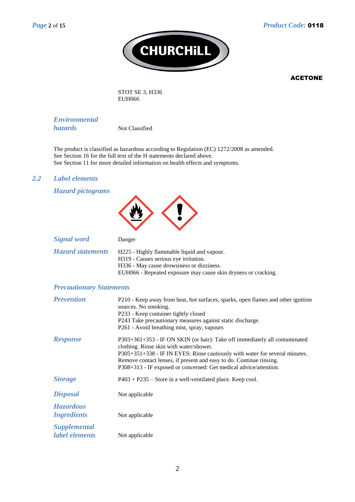

STOT SE 3, H336 EUH066

*Environmental hazards* Not Classified

The product is classified as hazardous according to Regulation (EC) 1272/2008 as amended. See Section 16 for the full text of the H statements declared above.

See Section 11 for more detailed information on health effects and symptoms.

#### *2.2 Label elements*

*Hazard pictograms*



| $\sim$ $\sim$ $\sim$ $\sim$ $\sim$ $\sim$ $\sim$ $\sim$ |                                                                |
|---------------------------------------------------------|----------------------------------------------------------------|
| <b>Hazard statements</b>                                | H225 - Highly flammable liquid and vapour.                     |
|                                                         | H319 - Causes serious eye irritation.                          |
|                                                         | H336 - May cause drowsiness or dizziness.                      |
|                                                         | EUH066 - Repeated exposure may cause skin dryness or cracking. |

#### *Precautionary Statements*

| <b>Prevention</b>                      | P210 - Keep away from heat, hot surfaces, sparks, open flames and other ignition<br>sources. No smoking.<br>P233 - Keep container tightly closed<br>P243 Take precautionary measures against static discharge.<br>P261 - Avoid breathing mist, spray, vapours                                                                                      |
|----------------------------------------|----------------------------------------------------------------------------------------------------------------------------------------------------------------------------------------------------------------------------------------------------------------------------------------------------------------------------------------------------|
| <b>Response</b>                        | $P303+361+353$ - IF ON SKIN (or hair): Take off immediately all contaminated<br>clothing. Rinse skin with water/shower.<br>P305+351+338 - IF IN EYES: Rinse cautiously with water for several minutes.<br>Remove contact lenses, if present and easy to do. Continue rinsing.<br>P308+313 - IF exposed or concerned: Get medical advice/attention. |
| <b>Storage</b>                         | $P403 + P235$ – Store in a well-ventilated place. Keep cool.                                                                                                                                                                                                                                                                                       |
| <b>Disposal</b>                        | Not applicable                                                                                                                                                                                                                                                                                                                                     |
| <b>Hazardous</b><br><i>Ingredients</i> | Not applicable                                                                                                                                                                                                                                                                                                                                     |
| <b>Supplemental</b><br>label elements  | Not applicable                                                                                                                                                                                                                                                                                                                                     |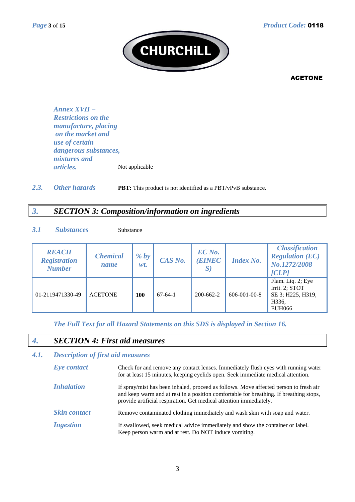

*Annex XVII – Restrictions on the manufacture, placing on the market and use of certain dangerous substances, mixtures and articles.* Not applicable

2.3. Other hazards **PBT:** This product is not identified as a PBT/vPvB substance.

# *3. SECTION 3: Composition/information on ingredients*

#### *3.1 Substances* Substance

| <b>REACH</b><br><b>Registration</b><br><b>Number</b> | <b>Chemical</b><br>name | % by<br>wt. | CAS No.   | EC No.<br><b>EINEC</b><br>$\bm{S}$ | <b>Index No.</b>     | <b>Classification</b><br><b>Regulation (EC)</b><br>No.1272/2008<br>[CLP]           |
|------------------------------------------------------|-------------------------|-------------|-----------|------------------------------------|----------------------|------------------------------------------------------------------------------------|
| 01-2119471330-49                                     | <b>ACETONE</b>          | 100         | $67-64-1$ | 200-662-2                          | $606 - 001 - 00 - 8$ | Flam. Liq. 2; Eye<br>Irrit. 2; STOT<br>SE 3; H225, H319,<br>H336,<br><b>EUH066</b> |

*The Full Text for all Hazard Statements on this SDS is displayed in Section 16.*

# *4. SECTION 4: First aid measures*

#### *4.1. Description of first aid measures*

| Eye contact         | Check for and remove any contact lenses. Immediately flush eyes with running water<br>for at least 15 minutes, keeping eyelids open. Seek immediate medical attention.                                                                                |
|---------------------|-------------------------------------------------------------------------------------------------------------------------------------------------------------------------------------------------------------------------------------------------------|
| <b>Inhalation</b>   | If spray/mist has been inhaled, proceed as follows. Move affected person to fresh air<br>and keep warm and at rest in a position comfortable for breathing. If breathing stops,<br>provide artificial respiration. Get medical attention immediately. |
| <b>Skin contact</b> | Remove contaminated clothing immediately and wash skin with soap and water.                                                                                                                                                                           |
| <i>Ingestion</i>    | If swallowed, seek medical advice immediately and show the container or label.<br>Keep person warm and at rest. Do NOT induce vomiting.                                                                                                               |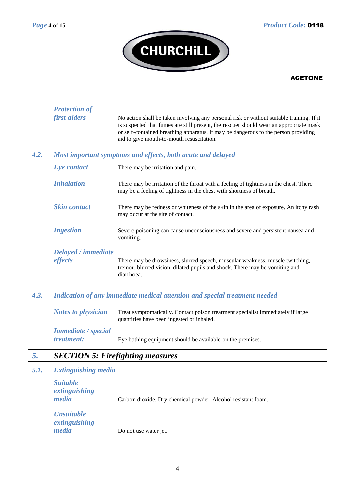

|      | <b>Protection of</b><br>first-aiders | No action shall be taken involving any personal risk or without suitable training. If it                                                                                                                                  |
|------|--------------------------------------|---------------------------------------------------------------------------------------------------------------------------------------------------------------------------------------------------------------------------|
|      |                                      | is suspected that fumes are still present, the rescuer should wear an appropriate mask<br>or self-contained breathing apparatus. It may be dangerous to the person providing<br>aid to give mouth-to-mouth resuscitation. |
| 4.2. |                                      | Most important symptoms and effects, both acute and delayed                                                                                                                                                               |
|      | Eye contact                          | There may be irritation and pain.                                                                                                                                                                                         |
|      | <b>Inhalation</b>                    | There may be irritation of the throat with a feeling of tightness in the chest. There<br>may be a feeling of tightness in the chest with shortness of breath.                                                             |
|      | <b>Skin contact</b>                  | There may be redness or whiteness of the skin in the area of exposure. An itchy rash<br>may occur at the site of contact.                                                                                                 |
|      | <b>Ingestion</b>                     | Severe poisoning can cause unconsciousness and severe and persistent nausea and<br>vomiting.                                                                                                                              |
|      | Delayed / immediate                  |                                                                                                                                                                                                                           |
|      | effects                              | There may be drowsiness, slurred speech, muscular weakness, muscle twitching,<br>tremor, blurred vision, dilated pupils and shock. There may be vomiting and<br>diarrhoea.                                                |
| 4.3. |                                      | Indication of any immediate medical attention and special treatment needed                                                                                                                                                |
|      | <b>Notes to physician</b>            | Treat symptomatically. Contact poison treatment specialist immediately if large<br>quantities have been ingested or inhaled.                                                                                              |
|      | <b>Immediate</b> / special           |                                                                                                                                                                                                                           |
|      | treatment:                           | Eye bathing equipment should be available on the premises.                                                                                                                                                                |
| 5.   |                                      | <b>SECTION 5: Firefighting measures</b>                                                                                                                                                                                   |
|      |                                      |                                                                                                                                                                                                                           |

# *5.1. Extinguishing media*

| <b>Suitable</b><br>extinguishing<br>media   | Carbon dioxide. Dry chemical powder. Alcohol resistant foam. |
|---------------------------------------------|--------------------------------------------------------------|
| <b>Unsuitable</b><br>extinguishing<br>media | Do not use water jet.                                        |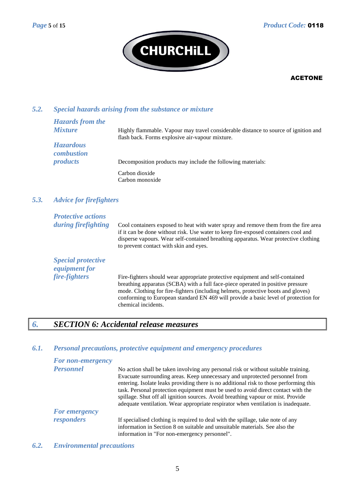

# *5.2. Special hazards arising from the substance or mixture*

| <b>Hazards from the</b>               |                                                                                                                                        |
|---------------------------------------|----------------------------------------------------------------------------------------------------------------------------------------|
| <b>Mixture</b>                        | Highly flammable. Vapour may travel considerable distance to source of ignition and<br>flash back. Forms explosive air-vapour mixture. |
| <b>Hazardous</b><br><i>combustion</i> |                                                                                                                                        |
| <i>products</i>                       | Decomposition products may include the following materials:                                                                            |
|                                       | Carbon dioxide                                                                                                                         |
|                                       | Carbon monoxide                                                                                                                        |

# *5.3. Advice for firefighters*

| <b>Protective actions</b><br>during firefighting                   | Cool containers exposed to heat with water spray and remove them from the fire area<br>if it can be done without risk. Use water to keep fire-exposed containers cool and<br>disperse vapours. Wear self-contained breathing apparatus. Wear protective clothing<br>to prevent contact with skin and eyes.                                                          |
|--------------------------------------------------------------------|---------------------------------------------------------------------------------------------------------------------------------------------------------------------------------------------------------------------------------------------------------------------------------------------------------------------------------------------------------------------|
| <b>Special protective</b><br><i>equipment for</i><br>fire-fighters |                                                                                                                                                                                                                                                                                                                                                                     |
|                                                                    | Fire-fighters should wear appropriate protective equipment and self-contained<br>breathing apparatus (SCBA) with a full face-piece operated in positive pressure<br>mode. Clothing for fire-fighters (including helmets, protective boots and gloves)<br>conforming to European standard EN 469 will provide a basic level of protection for<br>chemical incidents. |

# *6. SECTION 6: Accidental release measures*

#### *6.1. Personal precautions, protective equipment and emergency procedures*

| For non-emergency |                                                                                                                                                                                                                                                                                                                                                                                                                                                                                                                           |
|-------------------|---------------------------------------------------------------------------------------------------------------------------------------------------------------------------------------------------------------------------------------------------------------------------------------------------------------------------------------------------------------------------------------------------------------------------------------------------------------------------------------------------------------------------|
| <b>Personnel</b>  | No action shall be taken involving any personal risk or without suitable training.<br>Evacuate surrounding areas. Keep unnecessary and unprotected personnel from<br>entering. Isolate leaks providing there is no additional risk to those performing this<br>task. Personal protection equipment must be used to avoid direct contact with the<br>spillage. Shut off all ignition sources. Avoid breathing vapour or mist. Provide<br>adequate ventilation. Wear appropriate respirator when ventilation is inadequate. |
| For emergency     |                                                                                                                                                                                                                                                                                                                                                                                                                                                                                                                           |
| responders        | If specialised clothing is required to deal with the spillage, take note of any<br>information in Section 8 on suitable and unsuitable materials. See also the<br>information in "For non-emergency personnel".                                                                                                                                                                                                                                                                                                           |

*6.2. Environmental precautions*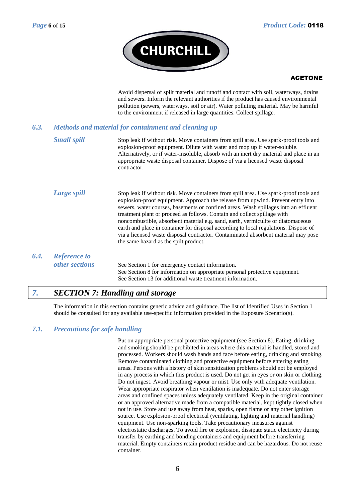

Avoid dispersal of spilt material and runoff and contact with soil, waterways, drains and sewers. Inform the relevant authorities if the product has caused environmental pollution (sewers, waterways, soil or air). Water polluting material. May be harmful to the environment if released in large quantities. Collect spillage.

# *6.3. Methods and material for containment and cleaning up*

**Small spill** Stop leak if without risk. Move containers from spill area. Use spark-proof tools and explosion-proof equipment. Dilute with water and mop up if water-soluble. Alternatively, or if water-insoluble, absorb with an inert dry material and place in an appropriate waste disposal container. Dispose of via a licensed waste disposal contractor.

- *Large spill* Stop leak if without risk. Move containers from spill area. Use spark-proof tools and explosion-proof equipment. Approach the release from upwind. Prevent entry into sewers, water courses, basements or confined areas. Wash spillages into an effluent treatment plant or proceed as follows. Contain and collect spillage with noncombustible, absorbent material e.g. sand, earth, vermiculite or diatomaceous earth and place in container for disposal according to local regulations. Dispose of via a licensed waste disposal contractor. Contaminated absorbent material may pose the same hazard as the spilt product.
- *6.4. Reference to*

*other sections* See Section 1 for emergency contact information. See Section 8 for information on appropriate personal protective equipment. See Section 13 for additional waste treatment information.

# *7. SECTION 7: Handling and storage*

The information in this section contains generic advice and guidance. The list of Identified Uses in Section 1 should be consulted for any available use-specific information provided in the Exposure Scenario(s).

### *7.1. Precautions for safe handling*

Put on appropriate personal protective equipment (see Section 8). Eating, drinking and smoking should be prohibited in areas where this material is handled, stored and processed. Workers should wash hands and face before eating, drinking and smoking. Remove contaminated clothing and protective equipment before entering eating areas. Persons with a history of skin sensitization problems should not be employed in any process in which this product is used. Do not get in eyes or on skin or clothing. Do not ingest. Avoid breathing vapour or mist. Use only with adequate ventilation. Wear appropriate respirator when ventilation is inadequate. Do not enter storage areas and confined spaces unless adequately ventilated. Keep in the original container or an approved alternative made from a compatible material, kept tightly closed when not in use. Store and use away from heat, sparks, open flame or any other ignition source. Use explosion-proof electrical (ventilating, lighting and material handling) equipment. Use non-sparking tools. Take precautionary measures against electrostatic discharges. To avoid fire or explosion, dissipate static electricity during transfer by earthing and bonding containers and equipment before transferring material. Empty containers retain product residue and can be hazardous. Do not reuse container.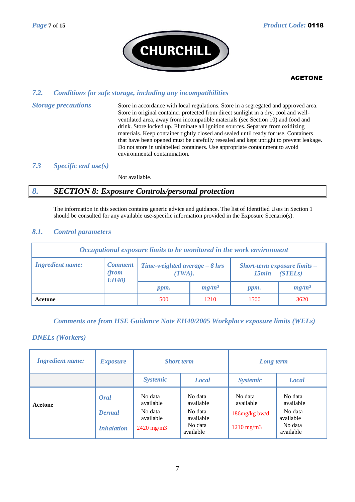

#### *7.2. Conditions for safe storage, including any incompatibilities*

*Storage precautions* Store in accordance with local regulations. Store in a segregated and approved area. Store in original container protected from direct sunlight in a dry, cool and wellventilated area, away from incompatible materials (see Section 10) and food and drink. Store locked up. Eliminate all ignition sources. Separate from oxidizing materials. Keep container tightly closed and sealed until ready for use. Containers that have been opened must be carefully resealed and kept upright to prevent leakage. Do not store in unlabelled containers. Use appropriate containment to avoid environmental contamination.

#### *7.3 Specific end use(s)*

Not available.

# *8. SECTION 8: Exposure Controls/personal protection*

The information in this section contains generic advice and guidance. The list of Identified Uses in Section 1 should be consulted for any available use-specific information provided in the Exposure Scenario(s).

#### *8.1. Control parameters*

| Occupational exposure limits to be monitored in the work environment |                                         |                                                            |          |                                                         |          |  |
|----------------------------------------------------------------------|-----------------------------------------|------------------------------------------------------------|----------|---------------------------------------------------------|----------|--|
| <b>Ingredient name:</b>                                              | <b>Comment</b><br>(from<br><b>EH40)</b> | <b>Time-weighted average <math>-8</math> hrs</b><br>(TWA). |          | <b>Short-term exposure limits –</b><br>(STELs)<br>15min |          |  |
|                                                                      |                                         | ppm.                                                       | $mg/m^3$ | ppm.                                                    | $mg/m^3$ |  |
| Acetone                                                              |                                         | 500                                                        | 1210     | 1500                                                    | 3620     |  |

#### *Comments are from HSE Guidance Note EH40/2005 Workplace exposure limits (WELs)*

#### *DNELs (Workers)*

| <b>Ingredient name:</b> | <i><b>Exposure</b></i>                     | <b>Short term</b>                                                   |                                                                      | Long term                                                   |                                                                      |  |
|-------------------------|--------------------------------------------|---------------------------------------------------------------------|----------------------------------------------------------------------|-------------------------------------------------------------|----------------------------------------------------------------------|--|
|                         |                                            | <b>Systemic</b>                                                     | <b>Local</b>                                                         | <b>Systemic</b>                                             | <b>Local</b>                                                         |  |
| Acetone                 | Oral<br><b>Dermal</b><br><b>Inhalation</b> | No data<br>available<br>No data<br>available<br>$2420 \text{ mg/m}$ | No data<br>available<br>No data<br>available<br>No data<br>available | No data<br>available<br>$186$ mg/kg bw/d<br>$1210$ mg/m $3$ | No data<br>available<br>No data<br>available<br>No data<br>available |  |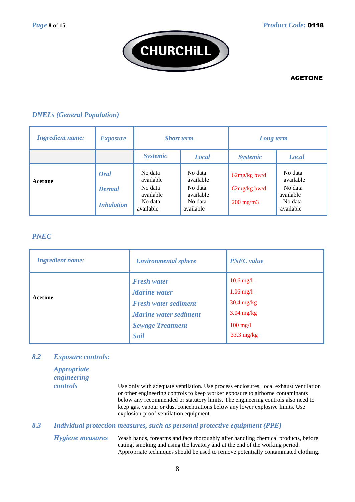

### *DNELs (General Population)*

| <b>Ingredient name:</b> | <b>Exposure</b>                            | <b>Short term</b>                                                    |                                                                      | Long term                                              |                                                                      |
|-------------------------|--------------------------------------------|----------------------------------------------------------------------|----------------------------------------------------------------------|--------------------------------------------------------|----------------------------------------------------------------------|
|                         |                                            | <b>Systemic</b>                                                      | <b>Local</b>                                                         | <b>Systemic</b>                                        | <b>Local</b>                                                         |
| Acetone                 | Oral<br><b>Dermal</b><br><b>Inhalation</b> | No data<br>available<br>No data<br>available<br>No data<br>available | No data<br>available<br>No data<br>available<br>No data<br>available | $62mg/kg$ bw/d<br>$62mg/kg$ bw/d<br>$200 \text{ mg/m}$ | No data<br>available<br>No data<br>available<br>No data<br>available |

### *PNEC*

| <b>Ingredient name:</b> | <b>Environmental sphere</b>                                              | <b>PNEC</b> value                                          |
|-------------------------|--------------------------------------------------------------------------|------------------------------------------------------------|
| Acetone                 | <b>Fresh water</b><br><b>Marine</b> water<br><b>Fresh water sediment</b> | $10.6$ mg/l<br>$1.06$ mg/l<br>$30.4 \text{ mg/kg}$         |
|                         | <b>Marine water sediment</b><br><b>Sewage Treatment</b><br><b>Soil</b>   | $3.04$ mg/kg<br>$100 \text{ mg/l}$<br>$33.3 \text{ mg/kg}$ |

#### *8.2 Exposure controls:*

| <i><b>Appropriate</b></i><br>engineering |                                                                                                                                                                                                             |
|------------------------------------------|-------------------------------------------------------------------------------------------------------------------------------------------------------------------------------------------------------------|
| <i>controls</i>                          | Use only with a dequate ventilation. Use process enclosures, local exhaust ventilation<br>or other engineering controls to keep worker exposure to airborne contaminants                                    |
|                                          | below any recommended or statutory limits. The engineering controls also need to<br>keep gas, vapour or dust concentrations below any lower explosive limits. Use<br>explosion-proof ventilation equipment. |

### *8.3 Individual protection measures, such as personal protective equipment (PPE)*

*Hygiene measures* Wash hands, forearms and face thoroughly after handling chemical products, before eating, smoking and using the lavatory and at the end of the working period. Appropriate techniques should be used to remove potentially contaminated clothing.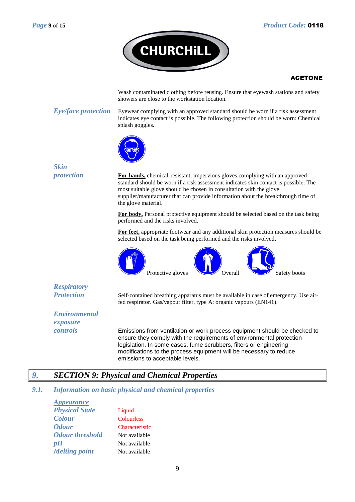

Wash contaminated clothing before reusing. Ensure that eyewash stations and safety showers are close to the workstation location.

*Eye/face protection* Eyewear complying with an approved standard should be worn if a risk assessment indicates eye contact is possible. The following protection should be worn: Chemical splash goggles.



| <b>Skin</b>          |                                                                                                                                                                                                                                                                                                                                                        |
|----------------------|--------------------------------------------------------------------------------------------------------------------------------------------------------------------------------------------------------------------------------------------------------------------------------------------------------------------------------------------------------|
| protection           | For hands, chemical-resistant, impervious gloves complying with an approved<br>standard should be worn if a risk assessment indicates skin contact is possible. The<br>most suitable glove should be chosen in consultation with the glove<br>supplier/manufacturer that can provide information about the breakthrough time of<br>the glove material. |
|                      | <b>For body</b> , Personal protective equipment should be selected based on the task being<br>performed and the risks involved.                                                                                                                                                                                                                        |
|                      | For feet, appropriate footwear and any additional skin protection measures should be<br>selected based on the task being performed and the risks involved.                                                                                                                                                                                             |
|                      | Protective gloves<br>Overall<br>Safety boots                                                                                                                                                                                                                                                                                                           |
| <b>Respiratory</b>   |                                                                                                                                                                                                                                                                                                                                                        |
| <b>Protection</b>    | Self-contained breathing apparatus must be available in case of emergency. Use air-<br>fed respirator. Gas/vapour filter, type A: organic vapours (EN141).                                                                                                                                                                                             |
| <b>Environmental</b> |                                                                                                                                                                                                                                                                                                                                                        |
| exposure             |                                                                                                                                                                                                                                                                                                                                                        |
| controls             | Emissions from ventilation or work process equipment should be checked to<br>ensure they comply with the requirements of environmental protection<br>legislation. In some cases, fume scrubbers, filters or engineering<br>modifications to the process equipment will be necessary to reduce<br>emissions to acceptable levels.                       |

# *9. SECTION 9: Physical and Chemical Properties*

#### *9.1. Information on basic physical and chemical properties*

*Appearance Physical State* Liquid *Colour* Colourless *Odour* Characteristic *Odour threshold* Not available *pH* Not available *Melting point* Not available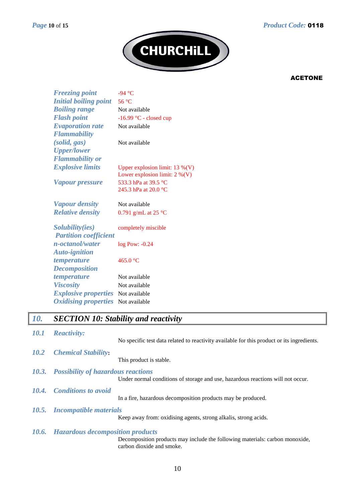

| <b>Freezing point</b>        | -94 °C                                                                |
|------------------------------|-----------------------------------------------------------------------|
| <b>Initial boiling point</b> | 56 °C                                                                 |
| <b>Boiling range</b>         | Not available                                                         |
| <b>Flash point</b>           | $-16.99$ °C - closed cup                                              |
| <b>Evaporation rate</b>      | Not available                                                         |
| <b>Flammability</b>          |                                                                       |
| (solid, gas)                 | Not available                                                         |
| <b>Upper/lower</b>           |                                                                       |
| <b>Flammability or</b>       |                                                                       |
| <b>Explosive limits</b>      | Upper explosion limit: $13\%$ (V)<br>Lower explosion limit: $2\%$ (V) |
| <b>Vapour pressure</b>       | 533.3 hPa at 39.5 °C                                                  |
|                              | 245.3 hPa at 20.0 °C                                                  |
| <i>Vapour density</i>        | Not available                                                         |
| <b>Relative density</b>      | 0.791 g/mL at 25 $^{\circ}$ C                                         |
| Solubility(ies)              | completely miscible                                                   |
| <b>Partition coefficient</b> |                                                                       |
| n-octanol/water              | log Pow: -0.24                                                        |
| <b>Auto-ignition</b>         |                                                                       |
| temperature                  | 465.0 °C                                                              |
| <b>Decomposition</b>         |                                                                       |
| temperature                  | Not available                                                         |
| <b>Viscosity</b>             | Not available                                                         |
| <b>Explosive properties</b>  | Not available                                                         |
| <b>Oxidising properties</b>  | Not available                                                         |

# *10. SECTION 10: Stability and reactivity*

| <i><b>10.1</b></i> | <b>Reactivity:</b>                            |                                                                                            |
|--------------------|-----------------------------------------------|--------------------------------------------------------------------------------------------|
|                    |                                               | No specific test data related to reactivity available for this product or its ingredients. |
| <b>10.2</b>        | <b>Chemical Stability:</b>                    |                                                                                            |
|                    |                                               | This product is stable.                                                                    |
|                    | 10.3. Possibility of hazardous reactions      |                                                                                            |
|                    |                                               | Under normal conditions of storage and use, hazardous reactions will not occur.            |
|                    | 10.4. Conditions to avoid                     |                                                                                            |
|                    |                                               | In a fire, hazardous decomposition products may be produced.                               |
|                    | 10.5. Incompatible materials                  |                                                                                            |
|                    |                                               | Keep away from: oxidising agents, strong alkalis, strong acids.                            |
|                    | <b>10.6.</b> Hazardous decomposition products |                                                                                            |
|                    |                                               | Decomposition products may include the following materials: carbon monoxide,               |
|                    |                                               | carbon dioxide and smoke.                                                                  |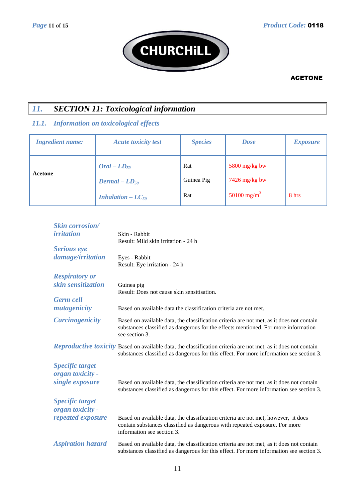

# *11. SECTION 11: Toxicological information*

# *11.1. Information on toxicological effects*

| <b>Ingredient name:</b> | <b>Acute toxicity test</b>                                                         | <b>Species</b>           | <b>Dose</b>                                                 | <b>Exposure</b> |
|-------------------------|------------------------------------------------------------------------------------|--------------------------|-------------------------------------------------------------|-----------------|
| Acetone                 | $Oral - LD_{50}$<br>$Dermal - LD_{50}$<br><b>Inhalation – <math>LC_{50}</math></b> | Rat<br>Guinea Pig<br>Rat | 5800 mg/kg bw<br>$7426$ mg/kg bw<br>50100 mg/m <sup>3</sup> | 8 hrs           |

| <b>Skin corrosion</b> /                    |                                                                                                                                                                                                           |
|--------------------------------------------|-----------------------------------------------------------------------------------------------------------------------------------------------------------------------------------------------------------|
| <i>irritation</i>                          | Skin - Rabbit<br>Result: Mild skin irritation - 24 h                                                                                                                                                      |
| <b>Serious</b> eye                         |                                                                                                                                                                                                           |
| damage/irritation                          | Eyes - Rabbit<br>Result: Eye irritation - 24 h                                                                                                                                                            |
| <b>Respiratory or</b>                      |                                                                                                                                                                                                           |
| skin sensitization                         | Guinea pig<br>Result: Does not cause skin sensitisation.                                                                                                                                                  |
| <b>Germ</b> cell                           |                                                                                                                                                                                                           |
| mutagenicity                               | Based on available data the classification criteria are not met.                                                                                                                                          |
| <b>Carcinogenicity</b>                     | Based on available data, the classification criteria are not met, as it does not contain<br>substances classified as dangerous for the effects mentioned. For more information<br>see section 3.          |
|                                            | Reproductive toxicity Based on available data, the classification criteria are not met, as it does not contain<br>substances classified as dangerous for this effect. For more information see section 3. |
| <b>Specific target</b><br>organ toxicity - |                                                                                                                                                                                                           |
| single exposure                            | Based on available data, the classification criteria are not met, as it does not contain<br>substances classified as dangerous for this effect. For more information see section 3.                       |
| <b>Specific target</b><br>organ toxicity - |                                                                                                                                                                                                           |
| repeated exposure                          | Based on available data, the classification criteria are not met, however, it does<br>contain substances classified as dangerous with repeated exposure. For more<br>information see section 3.           |
| <b>Aspiration hazard</b>                   | Based on available data, the classification criteria are not met, as it does not contain<br>substances classified as dangerous for this effect. For more information see section 3.                       |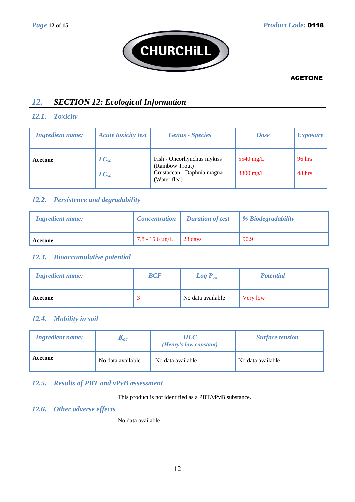

# *12. SECTION 12: Ecological Information*

# *12.1. Toxicity*

| <b>Ingredient name:</b> | <b>Acute toxicity test</b> | <b>Genus</b> - Species                                                                      | <b>Dose</b>                | <i>Exposure</i>  |
|-------------------------|----------------------------|---------------------------------------------------------------------------------------------|----------------------------|------------------|
| Acetone                 | $LC_{50}$<br>$LC_{50}$     | Fish - Oncorhynchus mykiss<br>(Rainbow Trout)<br>Crustacean - Daphnia magna<br>(Water flea) | $5540$ mg/L<br>$8800$ mg/L | 96 hrs<br>48 hrs |

# *12.2. Persistence and degradability*

| <b>Ingredient name:</b> | $\lfloor$ Concentration $\lfloor$ | <b>Duration of test</b> | <b><i>% Biodegradability</i></b> |
|-------------------------|-----------------------------------|-------------------------|----------------------------------|
| Acetone                 | $\sqrt{7.8 - 15.6 \mu g/L}$       | $\vert$ 28 days         | 90.9                             |

#### *12.3. Bioaccumulative potential*

| <b>Ingredient name:</b> | <b>BCF</b> | $Log P_{ow}$      | <b>Potential</b> |
|-------------------------|------------|-------------------|------------------|
| Acetone                 |            | No data available | Very low         |

#### *12.4. Mobility in soil*

| <b>Ingredient name:</b> | $\mathbf{A}_{\theta}$ | <i>HLC</i><br>(Henry's law constant) | <b>Surface tension</b> |
|-------------------------|-----------------------|--------------------------------------|------------------------|
| Acetone                 | No data available     | No data available                    | No data available      |

# *12.5. Results of PBT and vPvB assessment*

This product is not identified as a PBT/vPvB substance.

### *12.6. Other adverse effects*

No data available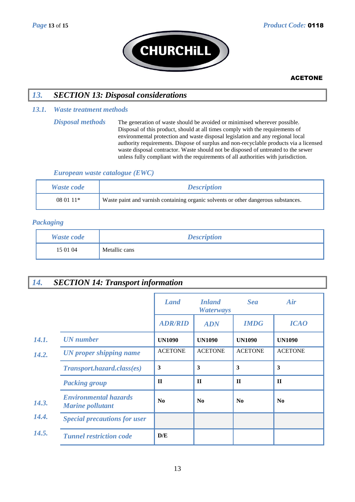

# *13. SECTION 13: Disposal considerations*

#### *13.1. Waste treatment methods*

#### *European waste catalogue (EWC)*

| <b>Waste code</b> | <b>Description</b>                                                                 |
|-------------------|------------------------------------------------------------------------------------|
| $080111*$         | Waste paint and varnish containing organic solvents or other dangerous substances. |

### *Packaging*

| <b>Waste code</b> | <b>Description</b> |
|-------------------|--------------------|
| 15 01 04          | Metallic cans      |

# *14. SECTION 14: Transport information*

|                                                         | <b>Land</b>    | <b>Inland</b><br><b>Waterways</b> | <b>Sea</b>     | Air            |
|---------------------------------------------------------|----------------|-----------------------------------|----------------|----------------|
|                                                         | <b>ADR/RID</b> | <b>ADN</b>                        | <b>IMDG</b>    | <b>ICAO</b>    |
| <b>UN</b> number                                        | <b>UN1090</b>  | <b>UN1090</b>                     | <b>UN1090</b>  | <b>UN1090</b>  |
| UN proper shipping name                                 | <b>ACETONE</b> | <b>ACETONE</b>                    | <b>ACETONE</b> | <b>ACETONE</b> |
| Transport.hazard.class(es)                              | 3              | 3                                 | 3              | 3              |
| <b>Packing group</b>                                    | $\mathbf{I}$   | $\Pi$                             | $\mathbf{H}$   | $\mathbf H$    |
| <b>Environmental hazards</b><br><b>Marine pollutant</b> | N <sub>0</sub> | No                                | No             | N <sub>0</sub> |
| <b>Special precautions for user</b>                     |                |                                   |                |                |
| <b>Tunnel restriction code</b>                          | D/E            |                                   |                |                |

*Disposal methods* The generation of waste should be avoided or minimised wherever possible. Disposal of this product, should at all times comply with the requirements of environmental protection and waste disposal legislation and any regional local authority requirements. Dispose of surplus and non-recyclable products via a licensed waste disposal contractor. Waste should not be disposed of untreated to the sewer unless fully compliant with the requirements of all authorities with jurisdiction.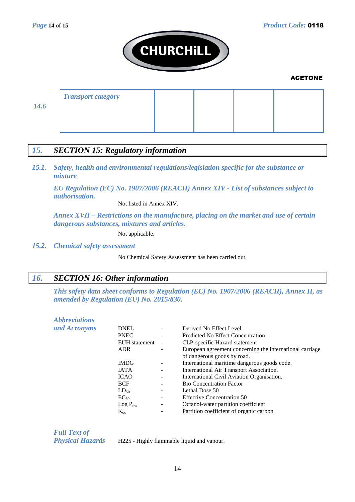

| <b>Transport category</b> |  |
|---------------------------|--|
|                           |  |

*14.6*

# *15. SECTION 15: Regulatory information*

*15.1. Safety, health and environmental regulations/legislation specific for the substance or mixture*

*EU Regulation (EC) No. 1907/2006 (REACH) Annex XIV - List of substances subject to authorisation.*

Not listed in Annex XIV.

*Annex XVII – Restrictions on the manufacture, placing on the market and use of certain dangerous substances, mixtures and articles.*

Not applicable.

*15.2. Chemical safety assessment*

No Chemical Safety Assessment has been carried out.

# *16. SECTION 16: Other information*

*This safety data sheet conforms to Regulation (EC) No. 1907/2006 (REACH), Annex II, as amended by Regulation (EU) No. 2015/830.*

| <i><b>Abbreviations</b></i> |  |  |
|-----------------------------|--|--|
| and Acronyms                |  |  |

| and Acronyms | <b>DNEL</b>   |                          | Derived No Effect Level                                  |
|--------------|---------------|--------------------------|----------------------------------------------------------|
|              | <b>PNEC</b>   | Ξ.                       | Predicted No Effect Concentration                        |
|              | EUH statement | $\overline{\phantom{a}}$ | CLP-specific Hazard statement                            |
|              | <b>ADR</b>    |                          | European agreement concerning the international carriage |
|              |               |                          | of dangerous goods by road.                              |
|              | <b>IMDG</b>   |                          | International maritime dangerous goods code.             |
|              | <b>IATA</b>   |                          | International Air Transport Association.                 |
|              | <b>ICAO</b>   |                          | International Civil Aviation Organisation.               |
|              | <b>BCF</b>    |                          | <b>Bio Concentration Factor</b>                          |
|              | $LD_{50}$     |                          | Lethal Dose 50                                           |
|              | $EC_{50}$     |                          | <b>Effective Concentration 50</b>                        |
|              | $Log P_{ow}$  | ۰.                       | Octanol-water partition coefficient                      |
|              | $K_{oc}$      |                          | Partition coefficient of organic carbon                  |
|              |               |                          |                                                          |

*Full Text of* 

*Physical Hazards* H225 - Highly flammable liquid and vapour.